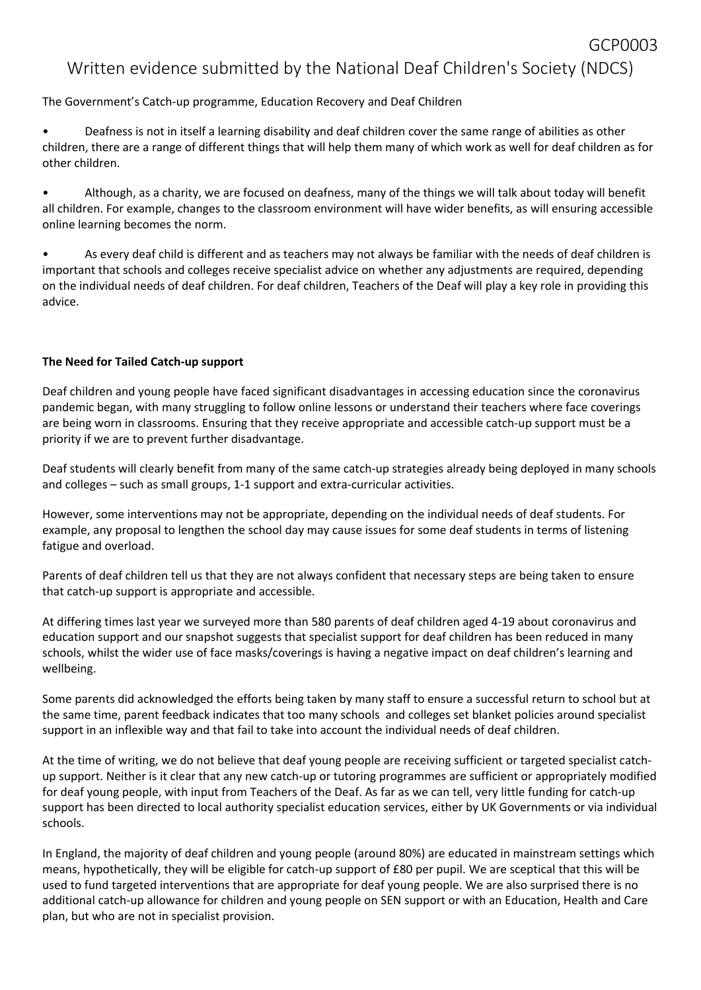## GCP0003 Written evidence submitted by the National Deaf Children's Society (NDCS)

The Government's Catch-up programme, Education Recovery and Deaf Children

• Deafness is not in itself a learning disability and deaf children cover the same range of abilities as other children, there are a range of different things that will help them many of which work as well for deaf children as for other children.

• Although, as a charity, we are focused on deafness, many of the things we will talk about today will benefit all children. For example, changes to the classroom environment will have wider benefits, as will ensuring accessible online learning becomes the norm.

• As every deaf child is different and as teachers may not always be familiar with the needs of deaf children is important that schools and colleges receive specialist advice on whether any adjustments are required, depending on the individual needs of deaf children. For deaf children, Teachers of the Deaf will play a key role in providing this advice.

## **The Need for Tailed Catch-up support**

Deaf children and young people have faced significant disadvantages in accessing education since the coronavirus pandemic began, with many struggling to follow online lessons or understand their teachers where face coverings are being worn in classrooms. Ensuring that they receive appropriate and accessible catch-up support must be a priority if we are to prevent further disadvantage.

Deaf students will clearly benefit from many of the same catch-up strategies already being deployed in many schools and colleges – such as small groups, 1-1 support and extra-curricular activities.

However, some interventions may not be appropriate, depending on the individual needs of deaf students. For example, any proposal to lengthen the school day may cause issues for some deaf students in terms of listening fatigue and overload.

Parents of deaf children tell us that they are not always confident that necessary steps are being taken to ensure that catch-up support is appropriate and accessible.

At differing times last year we surveyed more than 580 parents of deaf children aged 4-19 about coronavirus and education support and our snapshot suggests that specialist support for deaf children has been reduced in many schools, whilst the wider use of face masks/coverings is having a negative impact on deaf children's learning and wellbeing.

Some parents did acknowledged the efforts being taken by many staff to ensure a successful return to school but at the same time, parent feedback indicates that too many schools and colleges set blanket policies around specialist support in an inflexible way and that fail to take into account the individual needs of deaf children.

At the time of writing, we do not believe that deaf young people are receiving sufficient or targeted specialist catchup support. Neither is it clear that any new catch-up or tutoring programmes are sufficient or appropriately modified for deaf young people, with input from Teachers of the Deaf. As far as we can tell, very little funding for catch-up support has been directed to local authority specialist education services, either by UK Governments or via individual schools.

In England, the majority of deaf children and young people (around 80%) are educated in mainstream settings which means, hypothetically, they will be eligible for catch-up support of £80 per pupil. We are sceptical that this will be used to fund targeted interventions that are appropriate for deaf young people. We are also surprised there is no additional catch-up allowance for children and young people on SEN support or with an Education, Health and Care plan, but who are not in specialist provision.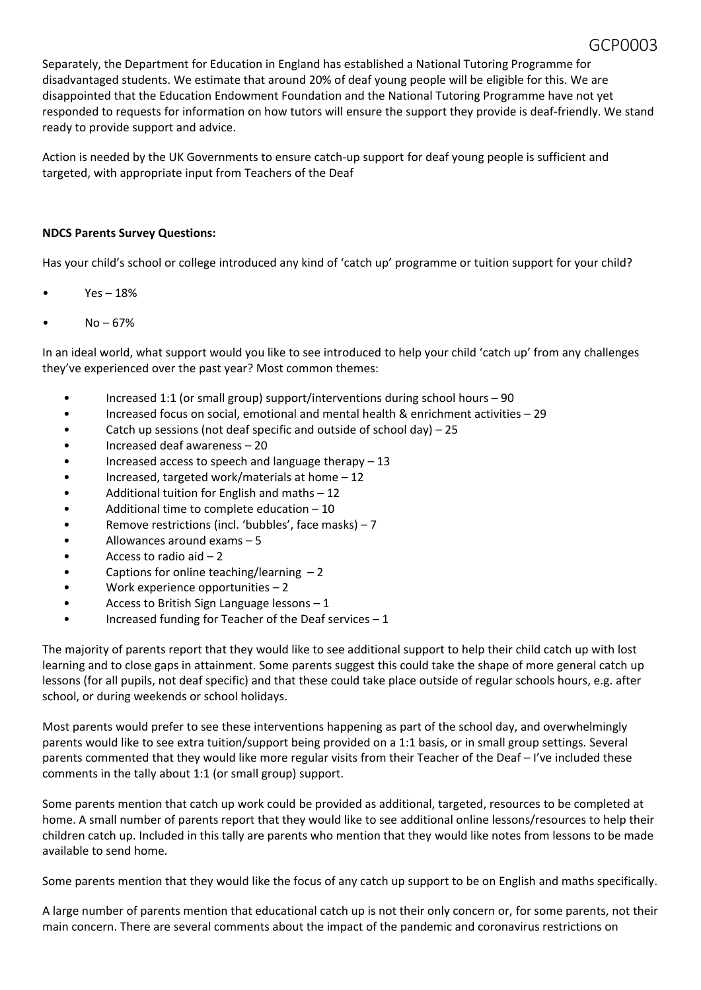Separately, the Department for Education in England has established a National Tutoring Programme for disadvantaged students. We estimate that around 20% of deaf young people will be eligible for this. We are disappointed that the Education Endowment Foundation and the National Tutoring Programme have not yet responded to requests for information on how tutors will ensure the support they provide is deaf-friendly. We stand ready to provide support and advice.

Action is needed by the UK Governments to ensure catch-up support for deaf young people is sufficient and targeted, with appropriate input from Teachers of the Deaf

#### **NDCS Parents Survey Questions:**

Has your child's school or college introduced any kind of 'catch up' programme or tuition support for your child?

- $Yes 18%$
- $No 67%$

In an ideal world, what support would you like to see introduced to help your child 'catch up' from any challenges they've experienced over the past year? Most common themes:

- Increased 1:1 (or small group) support/interventions during school hours 90
- Increased focus on social, emotional and mental health & enrichment activities 29
- Catch up sessions (not deaf specific and outside of school day) 25
- Increased deaf awareness 20
- Increased access to speech and language therapy 13
- Increased, targeted work/materials at home 12
- Additional tuition for English and maths 12
- Additional time to complete education 10
- Remove restrictions (incl. 'bubbles', face masks) 7
- Allowances around exams 5
- Access to radio aid  $-2$
- Captions for online teaching/learning 2
- Work experience opportunities 2
- Access to British Sign Language lessons 1
- Increased funding for Teacher of the Deaf services 1

The majority of parents report that they would like to see additional support to help their child catch up with lost learning and to close gaps in attainment. Some parents suggest this could take the shape of more general catch up lessons (for all pupils, not deaf specific) and that these could take place outside of regular schools hours, e.g. after school, or during weekends or school holidays.

Most parents would prefer to see these interventions happening as part of the school day, and overwhelmingly parents would like to see extra tuition/support being provided on a 1:1 basis, or in small group settings. Several parents commented that they would like more regular visits from their Teacher of the Deaf – I've included these comments in the tally about 1:1 (or small group) support.

Some parents mention that catch up work could be provided as additional, targeted, resources to be completed at home. A small number of parents report that they would like to see additional online lessons/resources to help their children catch up. Included in this tally are parents who mention that they would like notes from lessons to be made available to send home.

Some parents mention that they would like the focus of any catch up support to be on English and maths specifically.

A large number of parents mention that educational catch up is not their only concern or, for some parents, not their main concern. There are several comments about the impact of the pandemic and coronavirus restrictions on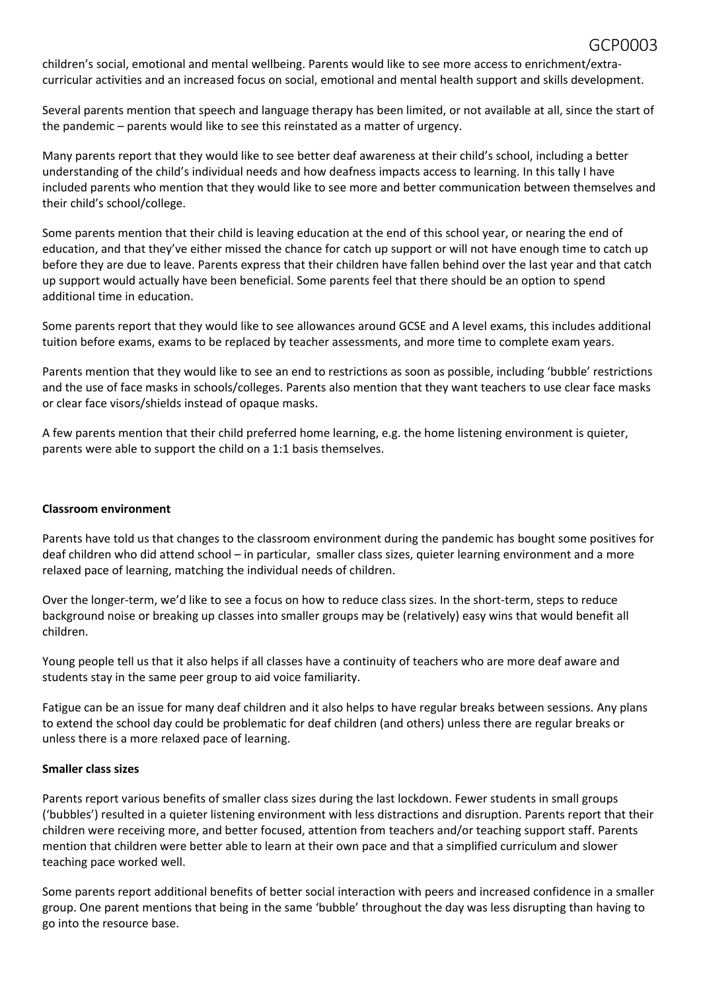children's social, emotional and mental wellbeing. Parents would like to see more access to enrichment/extracurricular activities and an increased focus on social, emotional and mental health support and skills development.

Several parents mention that speech and language therapy has been limited, or not available at all, since the start of the pandemic – parents would like to see this reinstated as a matter of urgency.

Many parents report that they would like to see better deaf awareness at their child's school, including a better understanding of the child's individual needs and how deafness impacts access to learning. In this tally I have included parents who mention that they would like to see more and better communication between themselves and their child's school/college.

Some parents mention that their child is leaving education at the end of this school year, or nearing the end of education, and that they've either missed the chance for catch up support or will not have enough time to catch up before they are due to leave. Parents express that their children have fallen behind over the last year and that catch up support would actually have been beneficial. Some parents feel that there should be an option to spend additional time in education.

Some parents report that they would like to see allowances around GCSE and A level exams, this includes additional tuition before exams, exams to be replaced by teacher assessments, and more time to complete exam years.

Parents mention that they would like to see an end to restrictions as soon as possible, including 'bubble' restrictions and the use of face masks in schools/colleges. Parents also mention that they want teachers to use clear face masks or clear face visors/shields instead of opaque masks.

A few parents mention that their child preferred home learning, e.g. the home listening environment is quieter, parents were able to support the child on a 1:1 basis themselves.

#### **Classroom environment**

Parents have told us that changes to the classroom environment during the pandemic has bought some positives for deaf children who did attend school – in particular, smaller class sizes, quieter learning environment and a more relaxed pace of learning, matching the individual needs of children.

Over the longer-term, we'd like to see a focus on how to reduce class sizes. In the short-term, steps to reduce background noise or breaking up classes into smaller groups may be (relatively) easy wins that would benefit all children.

Young people tell us that it also helps if all classes have a continuity of teachers who are more deaf aware and students stay in the same peer group to aid voice familiarity.

Fatigue can be an issue for many deaf children and it also helps to have regular breaks between sessions. Any plans to extend the school day could be problematic for deaf children (and others) unless there are regular breaks or unless there is a more relaxed pace of learning.

#### **Smaller class sizes**

Parents report various benefits of smaller class sizes during the last lockdown. Fewer students in small groups ('bubbles') resulted in a quieter listening environment with less distractions and disruption. Parents report that their children were receiving more, and better focused, attention from teachers and/or teaching support staff. Parents mention that children were better able to learn at their own pace and that a simplified curriculum and slower teaching pace worked well.

Some parents report additional benefits of better social interaction with peers and increased confidence in a smaller group. One parent mentions that being in the same 'bubble' throughout the day was less disrupting than having to go into the resource base.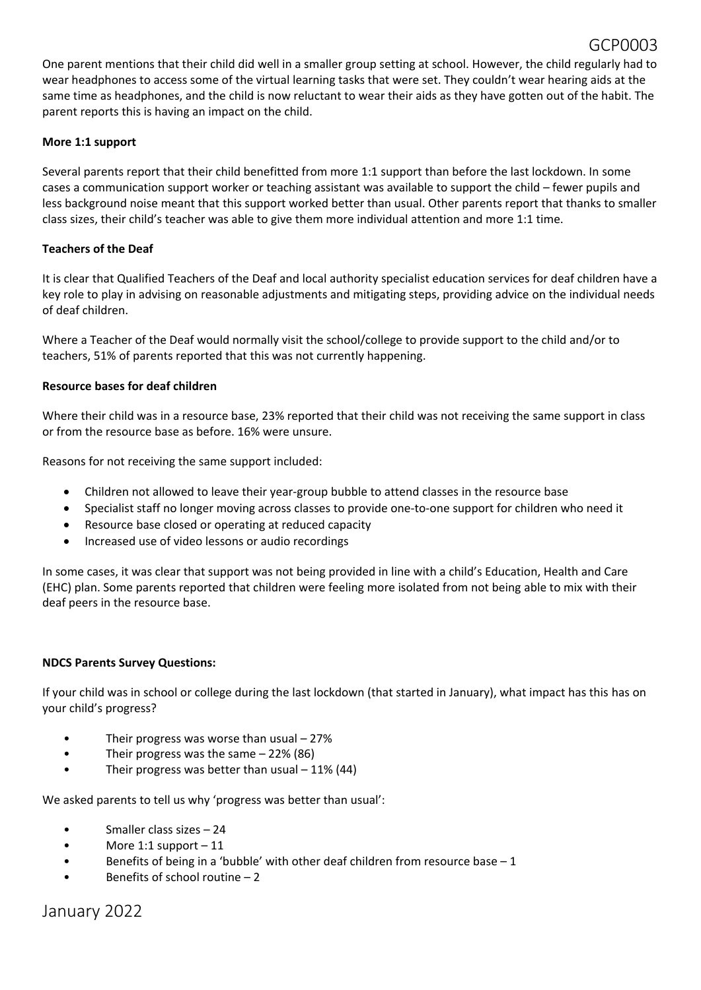One parent mentions that their child did well in a smaller group setting at school. However, the child regularly had to wear headphones to access some of the virtual learning tasks that were set. They couldn't wear hearing aids at the same time as headphones, and the child is now reluctant to wear their aids as they have gotten out of the habit. The parent reports this is having an impact on the child.

GCP0003

#### **More 1:1 support**

Several parents report that their child benefitted from more 1:1 support than before the last lockdown. In some cases a communication support worker or teaching assistant was available to support the child – fewer pupils and less background noise meant that this support worked better than usual. Other parents report that thanks to smaller class sizes, their child's teacher was able to give them more individual attention and more 1:1 time.

#### **Teachers of the Deaf**

It is clear that Qualified Teachers of the Deaf and local authority specialist education services for deaf children have a key role to play in advising on reasonable adjustments and mitigating steps, providing advice on the individual needs of deaf children.

Where a Teacher of the Deaf would normally visit the school/college to provide support to the child and/or to teachers, 51% of parents reported that this was not currently happening.

#### **Resource bases for deaf children**

Where their child was in a resource base, 23% reported that their child was not receiving the same support in class or from the resource base as before. 16% were unsure.

Reasons for not receiving the same support included:

- Children not allowed to leave their year-group bubble to attend classes in the resource base
- Specialist staff no longer moving across classes to provide one-to-one support for children who need it
- Resource base closed or operating at reduced capacity
- Increased use of video lessons or audio recordings

In some cases, it was clear that support was not being provided in line with a child's Education, Health and Care (EHC) plan. Some parents reported that children were feeling more isolated from not being able to mix with their deaf peers in the resource base.

### **NDCS Parents Survey Questions:**

If your child was in school or college during the last lockdown (that started in January), what impact has this has on your child's progress?

- Their progress was worse than usual 27%
- Their progress was the same 22% (86)
- Their progress was better than usual 11% (44)

We asked parents to tell us why 'progress was better than usual':

- Smaller class sizes 24
- More 1:1 support  $-11$
- Benefits of being in a 'bubble' with other deaf children from resource base  $-1$
- Benefits of school routine 2

January 2022